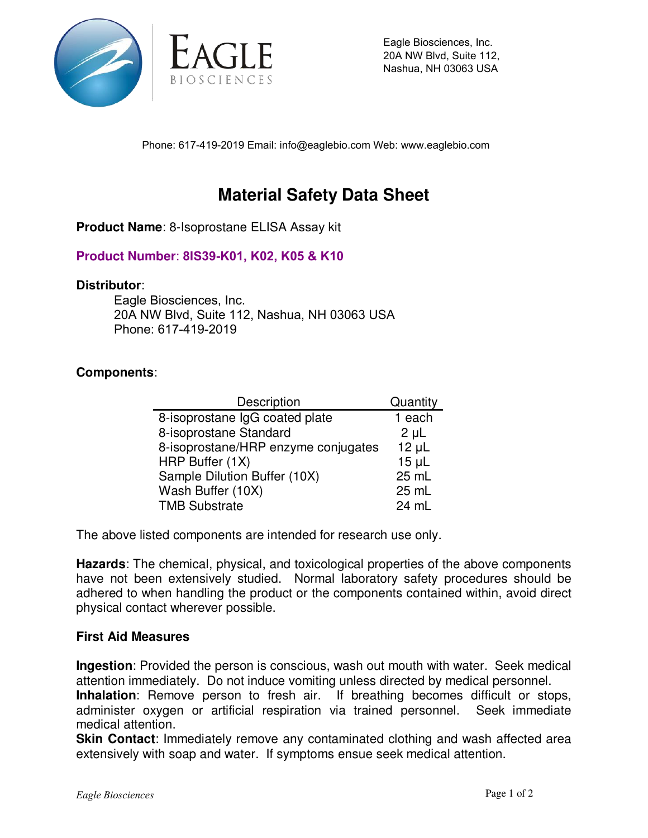

Eagle Biosciences, Inc. 20A NW Blvd, Suite 112, Nashua, NH 03063 USA

Phone: 617-419-2019 Email: info@eaglebio.com Web: www.eaglebio.com

# **Material Safety Data Sheet**

**Product Name**: 8-Isoprostane ELISA Assay kit

## **Product Number**: **8IS39-K01, K02, K05 & K10**

#### **Distributor**:

Eagle Biosciences, Inc. 20A NW Blvd, Suite 112, Nashua, NH 03063 USA Phone: 617-419-2019

### **Components**:

| Description                         | Quantity   |
|-------------------------------------|------------|
| 8-isoprostane IgG coated plate      | 1 each     |
| 8-isoprostane Standard              | $2 \mu L$  |
| 8-isoprostane/HRP enzyme conjugates | $12 \mu L$ |
| HRP Buffer (1X)                     | $15 \mu L$ |
| Sample Dilution Buffer (10X)        | 25 mL      |
| Wash Buffer (10X)                   | 25 mL      |
| <b>TMB Substrate</b>                | 24 mL      |

The above listed components are intended for research use only.

**Hazards**: The chemical, physical, and toxicological properties of the above components have not been extensively studied. Normal laboratory safety procedures should be adhered to when handling the product or the components contained within, avoid direct physical contact wherever possible.

#### **First Aid Measures**

**Ingestion**: Provided the person is conscious, wash out mouth with water. Seek medical attention immediately. Do not induce vomiting unless directed by medical personnel. **Inhalation**: Remove person to fresh air. If breathing becomes difficult or stops, administer oxygen or artificial respiration via trained personnel. Seek immediate medical attention.

**Skin Contact:** Immediately remove any contaminated clothing and wash affected area extensively with soap and water. If symptoms ensue seek medical attention.